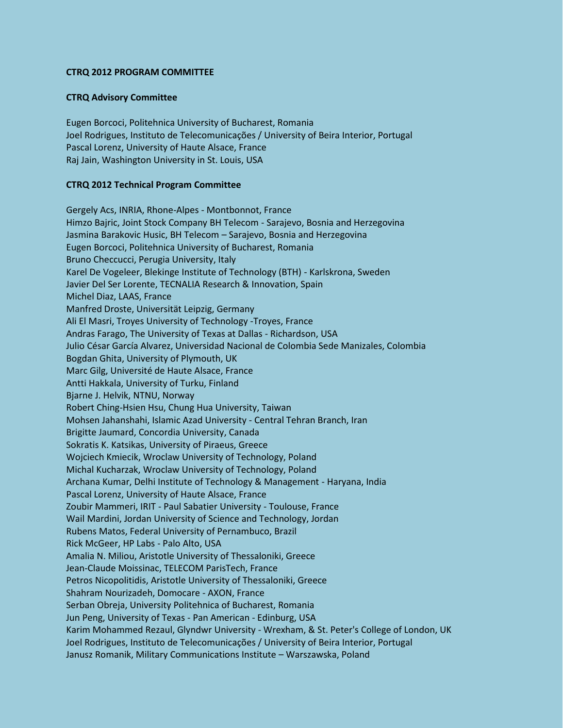## **CTRQ 2012 PROGRAM COMMITTEE**

## **CTRQ Advisory Committee**

Eugen Borcoci, Politehnica University of Bucharest, Romania Joel Rodrigues, Instituto de Telecomunicações / University of Beira Interior, Portugal Pascal Lorenz, University of Haute Alsace, France Raj Jain, Washington University in St. Louis, USA

## **CTRQ 2012 Technical Program Committee**

Gergely Acs, INRIA, Rhone-Alpes - Montbonnot, France Himzo Bajric, Joint Stock Company BH Telecom - Sarajevo, Bosnia and Herzegovina Jasmina Barakovic Husic, BH Telecom – Sarajevo, Bosnia and Herzegovina Eugen Borcoci, Politehnica University of Bucharest, Romania Bruno Checcucci, Perugia University, Italy Karel De Vogeleer, Blekinge Institute of Technology (BTH) - Karlskrona, Sweden Javier Del Ser Lorente, TECNALIA Research & Innovation, Spain Michel Diaz, LAAS, France Manfred Droste, Universität Leipzig, Germany Ali El Masri, Troyes University of Technology -Troyes, France Andras Farago, The University of Texas at Dallas - Richardson, USA Julio César García Alvarez, Universidad Nacional de Colombia Sede Manizales, Colombia Bogdan Ghita, University of Plymouth, UK Marc Gilg, Université de Haute Alsace, France Antti Hakkala, University of Turku, Finland Bjarne J. Helvik, NTNU, Norway Robert Ching-Hsien Hsu, Chung Hua University, Taiwan Mohsen Jahanshahi, Islamic Azad University - Central Tehran Branch, Iran Brigitte Jaumard, Concordia University, Canada Sokratis K. Katsikas, University of Piraeus, Greece Wojciech Kmiecik, Wroclaw University of Technology, Poland Michal Kucharzak, Wroclaw University of Technology, Poland Archana Kumar, Delhi Institute of Technology & Management - Haryana, India Pascal Lorenz, University of Haute Alsace, France Zoubir Mammeri, IRIT - Paul Sabatier University - Toulouse, France Wail Mardini, Jordan University of Science and Technology, Jordan Rubens Matos, Federal University of Pernambuco, Brazil Rick McGeer, HP Labs - Palo Alto, USA Amalia N. Miliou, Aristotle University of Thessaloniki, Greece Jean-Claude Moissinac, TELECOM ParisTech, France Petros Nicopolitidis, Aristotle University of Thessaloniki, Greece Shahram Nourizadeh, Domocare - AXON, France Serban Obreja, University Politehnica of Bucharest, Romania Jun Peng, University of Texas - Pan American - Edinburg, USA Karim Mohammed Rezaul, Glyndwr University - Wrexham, & St. Peter's College of London, UK Joel Rodrigues, Instituto de Telecomunicações / University of Beira Interior, Portugal Janusz Romanik, Military Communications Institute – Warszawska, Poland